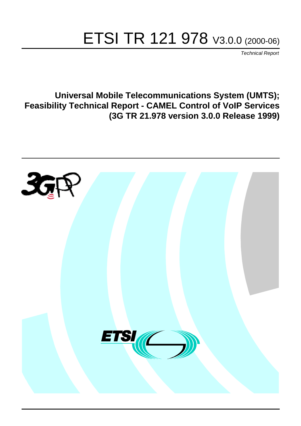# ETSI TR 121 978 V3.0.0 (2000-06)

Technical Report

**Universal Mobile Telecommunications System (UMTS); Feasibility Technical Report - CAMEL Control of VoIP Services (3G TR 21.978 version 3.0.0 Release 1999)**

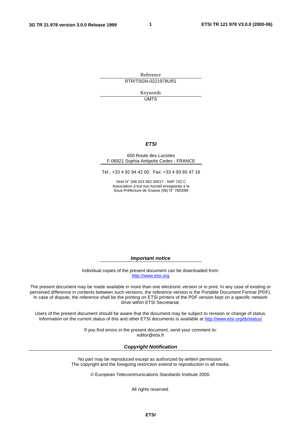**1**

Reference RTR/TSGN-0221978UR1

> Keywords UMTS

#### **ETSI**

#### 650 Route des Lucioles F-06921 Sophia Antipolis Cedex - FRANCE

Tel.: +33 4 92 94 42 00 Fax: +33 4 93 65 47 16

Siret N° 348 623 562 00017 - NAF 742 C Association à but non lucratif enregistrée à la Sous-Préfecture de Grasse (06) N° 7803/88

**Important notice**

Individual copies of the present document can be downloaded from: [http://www.etsi.org](http://www.etsi.org/)

The present document may be made available in more than one electronic version or in print. In any case of existing or perceived difference in contents between such versions, the reference version is the Portable Document Format (PDF). In case of dispute, the reference shall be the printing on ETSI printers of the PDF version kept on a specific network drive within ETSI Secretariat.

Users of the present document should be aware that the document may be subject to revision or change of status. Information on the current status of this and other ETSI documents is available at [http://www.etsi.org/tb/status/](http://www.etsi.org/tb/status)

> If you find errors in the present document, send your comment to: <editor@etsi.fr>

#### **Copyright Notification**

No part may be reproduced except as authorized by written permission. The copyright and the foregoing restriction extend to reproduction in all media.

© European Telecommunications Standards Institute 2000.

All rights reserved.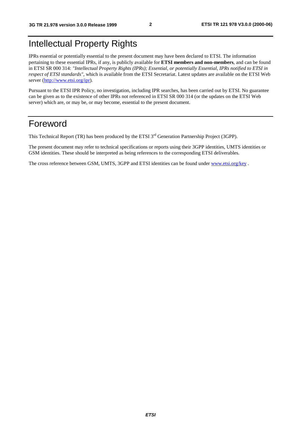# Intellectual Property Rights

IPRs essential or potentially essential to the present document may have been declared to ETSI. The information pertaining to these essential IPRs, if any, is publicly available for **ETSI members and non-members**, and can be found in ETSI SR 000 314: *"Intellectual Property Rights (IPRs); Essential, or potentially Essential, IPRs notified to ETSI in respect of ETSI standards"*, which is available from the ETSI Secretariat. Latest updates are available on the ETSI Web server (<http://www.etsi.org/ipr>).

Pursuant to the ETSI IPR Policy, no investigation, including IPR searches, has been carried out by ETSI. No guarantee can be given as to the existence of other IPRs not referenced in ETSI SR 000 314 (or the updates on the ETSI Web server) which are, or may be, or may become, essential to the present document.

# Foreword

This Technical Report (TR) has been produced by the ETSI 3<sup>rd</sup> Generation Partnership Project (3GPP).

The present document may refer to technical specifications or reports using their 3GPP identities, UMTS identities or GSM identities. These should be interpreted as being references to the corresponding ETSI deliverables.

The cross reference between GSM, UMTS, 3GPP and ETSI identities can be found under [www.etsi.org/key](http://www.etsi.org/key) .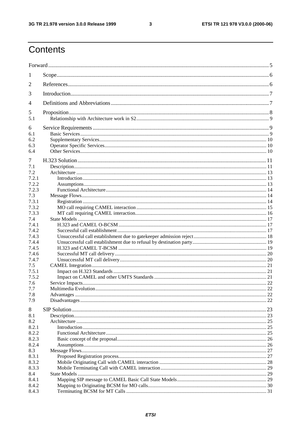#### $\mathbf{3}$

# Contents

| 1     |  |  |  |  |  |  |  |
|-------|--|--|--|--|--|--|--|
| 2     |  |  |  |  |  |  |  |
| 3     |  |  |  |  |  |  |  |
| 4     |  |  |  |  |  |  |  |
| 5     |  |  |  |  |  |  |  |
| 5.1   |  |  |  |  |  |  |  |
| 6     |  |  |  |  |  |  |  |
| 6.1   |  |  |  |  |  |  |  |
| 6.2   |  |  |  |  |  |  |  |
| 6.3   |  |  |  |  |  |  |  |
| 6.4   |  |  |  |  |  |  |  |
| 7     |  |  |  |  |  |  |  |
| 7.1   |  |  |  |  |  |  |  |
| 7.2   |  |  |  |  |  |  |  |
| 7.2.1 |  |  |  |  |  |  |  |
| 7.2.2 |  |  |  |  |  |  |  |
| 7.2.3 |  |  |  |  |  |  |  |
| 7.3   |  |  |  |  |  |  |  |
| 7.3.1 |  |  |  |  |  |  |  |
| 7.3.2 |  |  |  |  |  |  |  |
| 7.3.3 |  |  |  |  |  |  |  |
| 7.4   |  |  |  |  |  |  |  |
| 7.4.1 |  |  |  |  |  |  |  |
| 7.4.2 |  |  |  |  |  |  |  |
| 7.4.3 |  |  |  |  |  |  |  |
| 7.4.4 |  |  |  |  |  |  |  |
| 7.4.5 |  |  |  |  |  |  |  |
| 7.4.6 |  |  |  |  |  |  |  |
| 7.4.7 |  |  |  |  |  |  |  |
| 7.5   |  |  |  |  |  |  |  |
| 7.5.1 |  |  |  |  |  |  |  |
| 7.5.2 |  |  |  |  |  |  |  |
| 7.6   |  |  |  |  |  |  |  |
| 7.7   |  |  |  |  |  |  |  |
| 7.8   |  |  |  |  |  |  |  |
| 7.9   |  |  |  |  |  |  |  |
| 8     |  |  |  |  |  |  |  |
| 8.1   |  |  |  |  |  |  |  |
| 8.2   |  |  |  |  |  |  |  |
| 8.2.1 |  |  |  |  |  |  |  |
| 8.2.2 |  |  |  |  |  |  |  |
| 8.2.3 |  |  |  |  |  |  |  |
| 8.2.4 |  |  |  |  |  |  |  |
| 8.3   |  |  |  |  |  |  |  |
| 8.3.1 |  |  |  |  |  |  |  |
| 8.3.2 |  |  |  |  |  |  |  |
| 8.3.3 |  |  |  |  |  |  |  |
| 8.4   |  |  |  |  |  |  |  |
| 8.4.1 |  |  |  |  |  |  |  |
| 8.4.2 |  |  |  |  |  |  |  |
| 8.4.3 |  |  |  |  |  |  |  |
|       |  |  |  |  |  |  |  |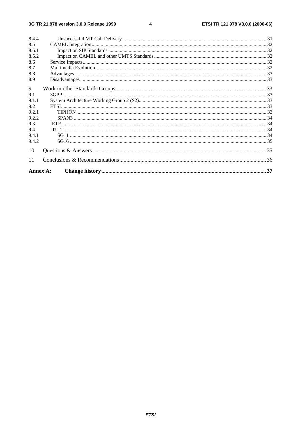#### $\overline{\mathbf{4}}$

| 8.4.4    |  |  |  |  |  |
|----------|--|--|--|--|--|
| 8.5      |  |  |  |  |  |
| 8.5.1    |  |  |  |  |  |
| 8.5.2    |  |  |  |  |  |
| 8.6      |  |  |  |  |  |
| 8.7      |  |  |  |  |  |
| 8.8      |  |  |  |  |  |
| 8.9      |  |  |  |  |  |
| 9        |  |  |  |  |  |
| 9.1      |  |  |  |  |  |
| 9.1.1    |  |  |  |  |  |
| 9.2      |  |  |  |  |  |
| 9.2.1    |  |  |  |  |  |
| 9.2.2    |  |  |  |  |  |
| 9.3      |  |  |  |  |  |
| 9.4      |  |  |  |  |  |
| 9.4.1    |  |  |  |  |  |
| 9.4.2    |  |  |  |  |  |
| 10       |  |  |  |  |  |
| 11       |  |  |  |  |  |
| Annex A: |  |  |  |  |  |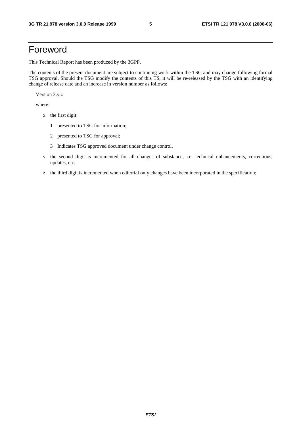# Foreword

This Technical Report has been produced by the 3GPP.

The contents of the present document are subject to continuing work within the TSG and may change following formal TSG approval. Should the TSG modify the contents of this TS, it will be re-released by the TSG with an identifying change of release date and an increase in version number as follows:

Version 3.y.z

where:

- x the first digit:
	- 1 presented to TSG for information;
	- 2 presented to TSG for approval;
	- 3 Indicates TSG approved document under change control.
- y the second digit is incremented for all changes of substance, i.e. technical enhancements, corrections, updates, etc.
- z the third digit is incremented when editorial only changes have been incorporated in the specification;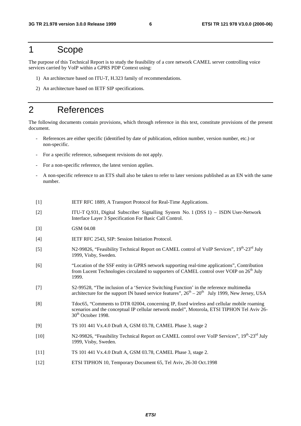# 1 Scope

The purpose of this Technical Report is to study the feasibility of a core network CAMEL server controlling voice services carried by VoIP within a GPRS PDP Context using:

- 1) An architecture based on ITU-T, H.323 family of recommendations.
- 2) An architecture based on IETF SIP specifications.

# 2 References

The following documents contain provisions, which through reference in this text, constitute provisions of the present document.

- References are either specific (identified by date of publication, edition number, version number, etc.) or non-specific.
- For a specific reference, subsequent revisions do not apply.
- For a non-specific reference, the latest version applies.
- A non-specific reference to an ETS shall also be taken to refer to later versions published as an EN with the same number.
- [1] **IETF RFC 1889, A Transport Protocol for Real-Time Applications.**
- [2] ITU-T Q.931, Digital Subscriber Signalling System No. 1 (DSS 1) ISDN User-Network Interface Layer 3 Specification For Basic Call Control.
- [3] GSM 04.08
- [4] IETF RFC 2543, SIP: Session Initiation Protocol.
- [5] N2-99826, "Feasibility Technical Report on CAMEL control of VoIP Services",  $19<sup>th</sup>$ -23<sup>rd</sup> July 1999, Visby, Sweden.
- [6] "Location of the SSF entity in GPRS network supporting real-time applications", Contribution from Lucent Technologies circulated to supporters of CAMEL control over VOIP on 26<sup>th</sup> July 1999.
- [7] S2-99528, "The inclusion of a 'Service Switching Function' in the reference multimedia architecture for the support IN based service features",  $26<sup>th</sup> - 20<sup>th</sup>$  July 1999, New Jersey, USA
- [8] Tdoc65, "Comments to DTR 02004, concerning IP, fixed wireless and cellular mobile roaming scenarios and the conceptual IP cellular network model", Motorola, ETSI TIPHON Tel Aviv 26-  $30<sup>th</sup>$  October 1998.
- [9] TS 101 441 Vx.4.0 Draft A, GSM 03.78, CAMEL Phase 3, stage 2
- [10] N2-99826, "Feasibility Technical Report on CAMEL control over VoIP Services",  $19^{th}$ -23<sup>rd</sup> July 1999, Visby, Sweden.
- [11] TS 101 441 Vx.4.0 Draft A, GSM 03.78, CAMEL Phase 3, stage 2.
- [12] ETSI TIPHON 10, Temporary Document 65, Tel Aviv, 26-30 Oct.1998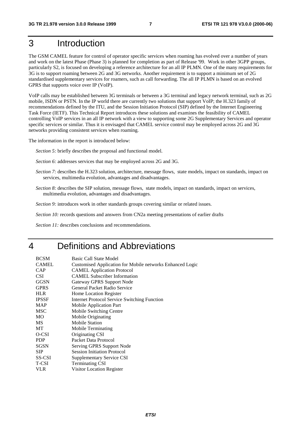# 3 Introduction

The GSM CAMEL feature for control of operator specific services when roaming has evolved over a number of years and work on the latest Phase (Phase 3) is planned for completion as part of Release '99. Work in other 3GPP groups, particularly S2, is focused on developing a reference architecture for an all IP PLMN. One of the many requirements for 3G is to support roaming between 2G and 3G networks. Another requirement is to support a minimum set of 2G standardised supplementary services for roamers, such as call forwarding. The all IP PLMN is based on an evolved GPRS that supports voice over IP (VoIP).

VoIP calls may be established between 3G terminals or between a 3G terminal and legacy network terminal, such as 2G mobile, ISDN or PSTN. In the IP world there are currently two solutions that support VoIP; the H.323 family of recommendations defined by the ITU, and the Session Initiation Protocol (SIP) defined by the Internet Engineering Task Force (IETF). This Technical Report introduces these solutions and examines the feasibility of CAMEL controlling VoIP services in an all IP network with a view to supporting some 2G Supplementary Services and operator specific services or similar. Thus it is envisaged that CAMEL service control may be employed across 2G and 3G networks providing consistent services when roaming.

The information in the report is introduced below:

*Section 5:* briefly describes the proposal and functional model.

- *Section 6:* addresses services that may be employed across 2G and 3G.
- *Section 7:* describes the H.323 solution, architecture, message flows, state models, impact on standards, impact on services, multimedia evolution, advantages and disadvantages.
- *Section 8:* describes the SIP solution, message flows, state models, impact on standards, impact on services, multimedia evolution, advantages and disadvantages.

*Section 9:* introduces work in other standards groups covering similar or related issues.

*Section 10:* records questions and answers from CN2a meeting presentations of earlier drafts

*Section 11:* describes conclusions and recommendations.

# 4 Definitions and Abbreviations

| <b>BCSM</b>   | Basic Call State Model                                           |
|---------------|------------------------------------------------------------------|
| <b>CAMEL</b>  | <b>Customised Application for Mobile networks Enhanced Logic</b> |
| <b>CAP</b>    | <b>CAMEL Application Protocol</b>                                |
| <b>CSI</b>    | <b>CAMEL Subscriber Information</b>                              |
| <b>GGSN</b>   | Gateway GPRS Support Node                                        |
| <b>GPRS</b>   | General Packet Radio Service                                     |
| <b>HLR</b>    | Home Location Register                                           |
| <b>IPSSF</b>  | <b>Internet Protocol Service Switching Function</b>              |
| <b>MAP</b>    | <b>Mobile Application Part</b>                                   |
| MSC           | Mobile Switching Centre                                          |
| МO            | Mobile Originating                                               |
| МS            | <b>Mobile Station</b>                                            |
| MТ            | Mobile Terminating                                               |
| O-CSI         | Originating CSI                                                  |
| <b>PDP</b>    | Packet Data Protocol                                             |
| <b>SGSN</b>   | Serving GPRS Support Node                                        |
| <b>SIP</b>    | <b>Session Initiation Protocol</b>                               |
| <b>SS-CSI</b> | Supplementary Service CSI                                        |
| T-CSI         | <b>Terminating CSI</b>                                           |
| VLR           | Visitor Location Register                                        |
|               |                                                                  |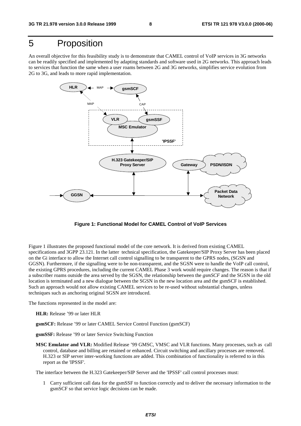# 5 Proposition

An overall objective for this feasibility study is to demonstrate that CAMEL control of VoIP services in 3G networks can be readily specified and implemented by adapting standards and software used in 2G networks. This approach leads to services that function the same when a user roams between 2G and 3G networks, simplifies service evolution from 2G to 3G, and leads to more rapid implementation.



**Figure 1: Functional Model for CAMEL Control of VoIP Services**

Figure 1 illustrates the proposed functional model of the core network. It is derived from existing CAMEL specifications and 3GPP 23.121. In the latter technical specification, the Gatekeeper/SIP Proxy Server has been placed on the Gi interface to allow the Internet call control signalling to be transparent to the GPRS nodes, (SGSN and GGSN). Furthermore, if the signalling were to be non-transparent, and the SGSN were to handle the VoIP call control, the existing GPRS procedures, including the current CAMEL Phase 3 work would require changes. The reason is that if a subscriber roams outside the area served by the SGSN, the relationship between the *gsmSCF* and the SGSN in the old location is terminated and a new dialogue between the SGSN in the new location area and the gsmSCF is established. Such an approach would not allow existing CAMEL services to be re-used without substantial changes, unless techniques such as anchoring original SGSN are introduced.

The functions represented in the model are:

- **HLR:** Release '99 or later HLR
- **gsmSCF:** Release '99 or later CAMEL Service Control Function (gsmSCF)
- **gsmSSF:** Release '99 or later Service Switching Function
- **MSC Emulator and VLR:** Modified Release '99 GMSC, VMSC and VLR functions. Many processes, such as call control, database and billing are retained or enhanced. Circuit switching and ancillary processes are removed. H.323 or SIP server inter-working functions are added. This combination of functionality is referred to in this report as the 'IPSSF'.

The interface between the H.323 Gatekeeper/SIP Server and the 'IPSSF' call control processes must:

1 Carry sufficient call data for the gsmSSF to function correctly and to deliver the necessary information to the gsmSCF so that service logic decisions can be made.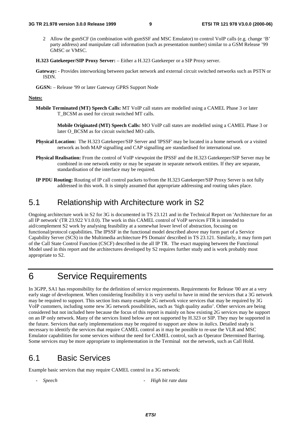- 2 Allow the gsmSCF (in combination with gsmSSF and MSC Emulator) to control VoIP calls (e.g. change 'B' party address) and manipulate call information (such as presentation number) similar to a GSM Release '99 GMSC or VMSC.
- **H.323 Gatekeeper/SIP Proxy Server:** Either a H.323 Gatekeeper or a SIP Proxy server.
- **Gateway:** Provides interworking between packet network and external circuit switched networks such as PSTN or ISDN.
- **GGSN:** Release '99 or later Gateway GPRS Support Node

#### **Notes:**

- **Mobile Terminated (MT) Speech Calls:** MT VoIP call states are modelled using a CAMEL Phase 3 or later T\_BCSM as used for circuit switched MT calls.
	- **Mobile Originated (MT) Speech Calls:** MO VoIP call states are modelled using a CAMEL Phase 3 or later O\_BCSM as for circuit switched MO calls.
- **Physical Location:** The H.323 Gatekeeper/SIP Server and 'IPSSF' may be located in a home network or a visited network as both MAP signalling and CAP signalling are standardised for international use.
- **Physical Realisation:** From the control of VoIP viewpoint the IPSSF and the H.323 Gatekeeper/SIP Server may be combined in one network entity or may be separate in separate network entities. If they are separate, standardisation of the interface may be required.
- **IP PDU Routing:** Routing of IP call control packets to/from the H.323 Gatekeeper/SIP Proxy Server is not fully addressed in this work. It is simply assumed that appropriate addressing and routing takes place.

# 5.1 Relationship with Architecture work in S2

Ongoing architecture work in S2 for 3G is documented in TS 23.121 and in the Technical Report on 'Architecture for an all IP network' (TR 23.922 V1.0.0). The work in this CAMEL control of VoIP services FTR is intended to aid/complement S2 work by analysing feasibility at a somewhat lower level of abstraction, focusing on functional/protocol capabilities. The IPSSF in the functional model described above may form part of a Service Capability Server (SCS) in the Multimedia architecture PS Domain' described in TS 23.121. Similarly, it may form part of the Call State Control Function (CSCF) described in the all IP TR. The exact mapping between the Functional Model used in this report and the architectures developed by S2 requires further study and is work probably most appropriate to S2.

# 6 Service Requirements

In 3GPP, SA1 has responsibility for the definition of service requirements. Requirements for Release '00 are at a very early stage of development. When considering feasibility it is very useful to have in mind the services that a 3G network may be required to support. This section lists many example 2G network voice services that may be required by 3G VoIP customers, including some new 3G network possibilities, such as 'high quality audio'. Other services are being considered but not included here because the focus of this report is mainly on how existing 2G services may be support on an IP only network. Many of the services listed below are not supported by H.323 or SIP. They may be supported in the future. Services that early implementations may be required to support are show in *italics*. Detailed study is necessary to identify the services that require CAMEL control as it may be possible to re-use the VLR and MSC Emulator capabilities for some services without the need for CAMEL control, such as Operator Determined Barring. Some services may be more appropriate to implementation in the Terminal not the network, such as Call Hold.

# 6.1 Basic Services

Example basic services that may require CAMEL control in a 3G network:

*- Speech - High bit rate data*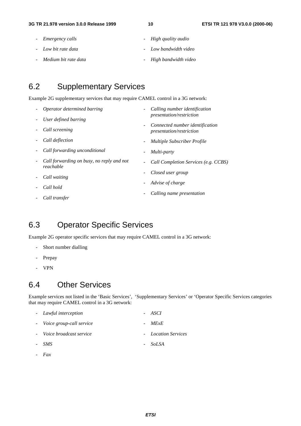- *Emergency calls*
- *Low bit rate data*
- *Medium bit rate data*
- *High quality audio*
- *Low bandwidth video*
- *High bandwidth video*

# 6.2 Supplementary Services

Example 2G supplementary services that may require CAMEL control in a 3G network:

| Operator determined barring                            |  | Calling number identification<br>presentation/restriction   |  |  |
|--------------------------------------------------------|--|-------------------------------------------------------------|--|--|
| User defined barring                                   |  |                                                             |  |  |
| Call screening                                         |  | Connected number identification<br>presentation/restriction |  |  |
| Call deflection                                        |  | <b>Multiple Subscriber Profile</b>                          |  |  |
| Call forwarding unconditional                          |  | Multi-party                                                 |  |  |
| Call forwarding on busy, no reply and not<br>reachable |  | Call Completion Services (e.g. CCBS)                        |  |  |
| Call waiting                                           |  | Closed user group                                           |  |  |
| Call hold                                              |  | Advise of charge                                            |  |  |
| Call transfer                                          |  | Calling name presentation                                   |  |  |

# 6.3 Operator Specific Services

Example 2G operator specific services that may require CAMEL control in a 3G network:

- Short number dialling
- Prepay
- VPN

# 6.4 Other Services

Example services not listed in the 'Basic Services', 'Supplementary Services' or 'Operator Specific Services categories that may require CAMEL control in a 3G network:

| - Lawful interception      | - ASCI              |
|----------------------------|---------------------|
| - Voice group-call service | $-MExE$             |
| - Voice broadcast service  | - Location Services |
| - SMS                      | - SoLSA             |
|                            |                     |

*- Fax*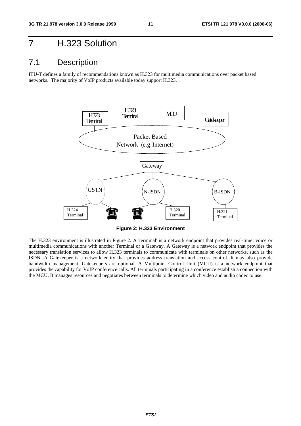# 7 H.323 Solution

# 7.1 Description

ITU-T defines a family of recommendations known as H.323 for multimedia communications over packet based networks. The majority of VoIP products available today support H.323.



**Figure 2: H.323 Environment**

The H.323 environment is illustrated in Figure 2. A 'terminal' is a network endpoint that provides real-time, voice or multimedia communications with another Terminal or a Gateway. A Gateway is a network endpoint that provides the necessary translation services to allow H.323 terminals to communicate with terminals on other networks, such as the ISDN. A Gatekeeper is a network entity that provides address translation and access control. It may also provide bandwidth management. Gatekeepers are optional. A Multipoint Control Unit (MCU) is a network endpoint that provides the capability for VoIP conference calls. All terminals participating in a conference establish a connection with the MCU. It manages resources and negotiates between terminals to determine which video and audio codec to use.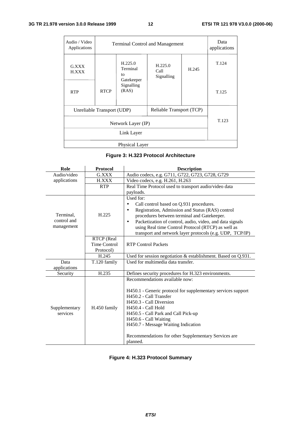| Audio / Video<br>Applications | <b>Terminal Control and Management</b> | Data<br>applications                    |                               |       |       |
|-------------------------------|----------------------------------------|-----------------------------------------|-------------------------------|-------|-------|
| G.XXX<br><b>H.XXX</b>         |                                        | H.225.0<br>Terminal<br>to<br>Gatekeeper | H.225.0<br>Call<br>Signalling | H.245 | T.124 |
| <b>RTP</b>                    | <b>RTCP</b>                            | Signalling<br>(RAS)                     |                               |       | T.125 |
| Unreliable Transport (UDP)    |                                        |                                         |                               |       |       |
|                               | T.123                                  |                                         |                               |       |       |
| Link Layer                    |                                        |                                         |                               |       |       |
| Physical Layer                |                                        |                                         |                               |       |       |

#### **Figure 3: H.323 Protocol Architecture**

| Role                                   | <b>Protocol</b>                         | <b>Description</b>                                                                                                                                                                                                                                                                                                                                              |
|----------------------------------------|-----------------------------------------|-----------------------------------------------------------------------------------------------------------------------------------------------------------------------------------------------------------------------------------------------------------------------------------------------------------------------------------------------------------------|
| Audio/video                            | G.XXX                                   | Audio codecs, e.g. G711, G722, G723, G728, G729                                                                                                                                                                                                                                                                                                                 |
| applications                           | <b>H.XXX</b>                            | Video codecs, e.g. H.261, H.263                                                                                                                                                                                                                                                                                                                                 |
|                                        | <b>RTP</b>                              | Real Time Protocol used to transport audio/video data                                                                                                                                                                                                                                                                                                           |
|                                        |                                         | payloads.                                                                                                                                                                                                                                                                                                                                                       |
| Terminal,<br>control and<br>management | H.225                                   | Used for:<br>Call control based on Q.931 procedures.<br>$\bullet$<br>Registration, Admission and Status (RAS) control<br>procedures between terminal and Gatekeeper.<br>Packetization of control, audio, video, and data signals<br>$\bullet$<br>using Real time Control Protocol (RTCP) as well as<br>transport and network layer protocols (e.g. UDP, TCP/IP) |
|                                        | RTCP (Real<br>Time Control<br>Protocol) | <b>RTP Control Packets</b>                                                                                                                                                                                                                                                                                                                                      |
|                                        | H.245                                   | Used for session negotiation & establishment. Based on Q.931.                                                                                                                                                                                                                                                                                                   |
| Data<br>applications                   | T.120 family                            | Used for multimedia data transfer.                                                                                                                                                                                                                                                                                                                              |
| Security                               | H.235                                   | Defines security procedures for H.323 environments.                                                                                                                                                                                                                                                                                                             |
| Supplementary<br>services              | H.450 family                            | Recommendations available now:<br>H450.1 - Generic protocol for supplementary services support<br>H450.2 - Call Transfer<br>H450.3 - Call Diversion<br><b>H450.4 - Call Hold</b><br>H450.5 - Call Park and Call Pick-up<br>H450.6 - Call Waiting<br>H450.7 - Message Waiting Indication<br>Recommendations for other Supplementary Services are<br>planned.     |

### **Figure 4: H.323 Protocol Summary**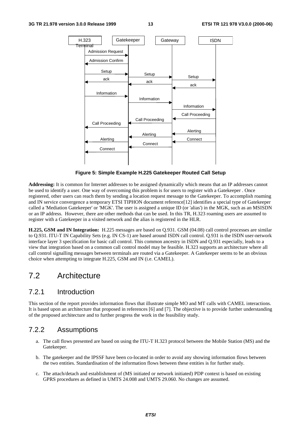

**Figure 5: Simple Example H.225 Gatekeeper Routed Call Setup**

**Addressing:** It is common for Internet addresses to be assigned dynamically which means that an IP addresses cannot be used to identify a user. One way of overcoming this problem is for users to register with a Gatekeeper . Once registered, other users can reach them by sending a location request message to the Gatekeeper. To accomplish roaming and IN service convergence a temporary ETSI TIPHON document reference[12] identifies a special type of Gatekeeper called a 'Mediation Gatekeeper' or 'MGK'. The user is assigned a unique ID (or 'alias') in the MGK, such as an MSISDN or an IP address. However, there are other methods that can be used. In this TR, H.323 roaming users are assumed to register with a Gatekeeper in a visited network and the alias is registered in the HLR.

**H.225, GSM and IN Integration:** H.225 messages are based on Q.931. GSM (04.08) call control processes are similar to Q.931. ITU-T IN Capability Sets (e.g. IN CS-1) are based around ISDN call control. Q.931 is the ISDN user-network interface layer 3 specification for basic call control. This common ancestry in ISDN and Q.931 especially, leads to a view that integration based on a common call control model may be feasible. H.323 supports an architecture where all call control signalling messages between terminals are routed via a Gatekeeper. A Gatekeeper seems to be an obvious choice when attempting to integrate H.225, GSM and IN (i.e. CAMEL).

# 7.2 Architecture

### 7.2.1 Introduction

This section of the report provides information flows that illustrate simple MO and MT calls with CAMEL interactions. It is based upon an architecture that proposed in references [6] and [7]. The objective is to provide further understanding of the proposed architecture and to further progress the work in the feasibility study.

### 7.2.2 Assumptions

- a. The call flows presented are based on using the ITU-T H.323 protocol between the Mobile Station (MS) and the Gatekeeper.
- b. The gatekeeper and the IPSSF have been co-located in order to avoid any showing information flows between the two entities. Standardisation of the information flows between these entities is for further study.
- c. The attach/detach and establishment of (MS initiated or network initiated) PDP context is based on existing GPRS procedures as defined in UMTS 24.008 and UMTS 29.060. No changes are assumed.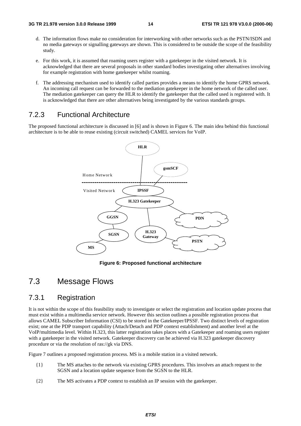- d. The information flows make no consideration for interworking with other networks such as the PSTN/ISDN and no media gateways or signalling gateways are shown. This is considered to be outside the scope of the feasibility study.
- e. For this work, it is assumed that roaming users register with a gatekeeper in the visited network. It is acknowledged that there are several proposals in other standard bodies investigating other alternatives involving for example registration with home gatekeeper whilst roaming.
- f. The addressing mechanism used to identify called parties provides a means to identify the home GPRS network. An incoming call request can be forwarded to the mediation gatekeeper in the home network of the called user. The mediation gatekeeper can query the HLR to identify the gatekeeper that the called used is registered with. It is acknowledged that there are other alternatives being investigated by the various standards groups.

# 7.2.3 Functional Architecture

The proposed functional architecture is discussed in [6] and is shown in Figure 6. The main idea behind this functional architecture is to be able to reuse existing (circuit switched) CAMEL services for VoIP.



**Figure 6: Proposed functional architecture**

# 7.3 Message Flows

# 7.3.1 Registration

It is not within the scope of this feasibility study to investigate or select the registration and location update process that must exist within a multimedia service network. However this section outlines a possible registration process that allows CAMEL Subscriber Information (CSI) to be stored in the Gatekeeper/IPSSF. Two distinct levels of registration exist; one at the PDP transport capability (Attach/Detach and PDP context establishment) and another level at the VoIP/multimedia level. Within H.323, this latter registration takes places with a Gatekeeper and roaming users register with a gatekeeper in the visited network. Gatekeeper discovery can be achieved via H.323 gatekeeper discovery procedure or via the resolution of ras://gk via DNS.

Figure 7 outlines a proposed registration process. MS is a mobile station in a visited network.

- {1} The MS attaches to the network via existing GPRS procedures. This involves an attach request to the SGSN and a location update sequence from the SGSN to the HLR.
- {2} The MS activates a PDP context to establish an IP session with the gatekeeper.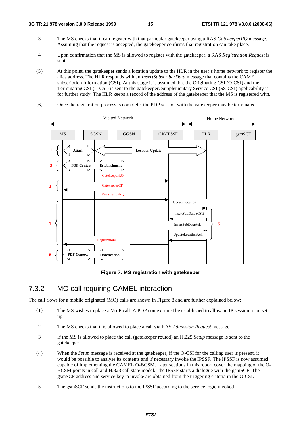- {3} The MS checks that it can register with that particular gatekeeper using a RAS *GatekeeperRQ* message. Assuming that the request is accepted, the gatekeeper confirms that registration can take place.
- {4} Upon confirmation that the MS is allowed to register with the gatekeeper, a RAS *Registration Request* is sent.
- {5} At this point, the gatekeeper sends a location update to the HLR in the user's home network to register the alias address. The HLR responds with an *InsertSubscriberData* message that contains the CAMEL subscription Information (CSI). At this stage it is assumed that the Originating CSI (O-CSI) and the Terminating CSI (T-CSI) is sent to the gatekeeper. Supplementary Service CSI (SS-CSI) applicability is for further study. The HLR keeps a record of the address of the gatekeeper that the MS is registered with.
- {6} Once the registration process is complete, the PDP session with the gatekeeper may be terminated.



**Figure 7: MS registration with gatekeeper**

#### 7.3.2 MO call requiring CAMEL interaction

The call flows for a mobile originated (MO) calls are shown in Figure 8 and are further explained below:

- {1} The MS wishes to place a VoIP call. A PDP context must be established to allow an IP session to be set up.
- {2} The MS checks that it is allowed to place a call via RAS *Admission Request* message.
- {3} If the MS is allowed to place the call (gatekeeper routed) an H.225 *Setup* message is sent to the gatekeeper.
- {4} When the *Setup* message is received at the gatekeeper, if the O-CSI for the calling user is present, it would be possible to analyse its contents and if necessary invoke the IPSSF. The IPSSF is now assumed capable of implementing the CAMEL O-BCSM. Later sections in this report cover the mapping of the O-BCSM points in call and H.323 call state model. The IPSSF starts a dialogue with the gsmSCF. The gsmSCF address and service key to invoke are obtained from the triggering criteria in the O-CSI.
- {5} The gsmSCF sends the instructions to the IPSSF according to the service logic invoked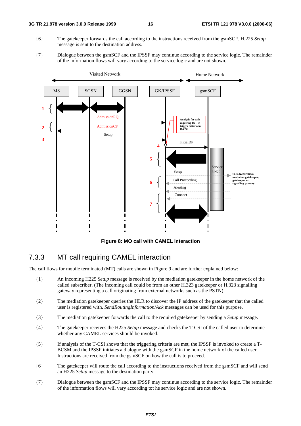- {6} The gatekeeper forwards the call according to the instructions received from the gsmSCF. H.225 *Setup* message is sent to the destination address.
- {7} Dialogue between the gsmSCF and the IPSSF may continue according to the service logic. The remainder of the information flows will vary according to the service logic and are not shown.



**Figure 8: MO call with CAMEL interaction**

#### 7.3.3 MT call requiring CAMEL interaction

The call flows for mobile terminated (MT) calls are shown in Figure 9 and are further explained below:

- {1} An incoming H225 *Setup* message is received by the mediation gatekeeper in the home network of the called subscriber. (The incoming call could be from an other H.323 gatekeeper or H.323 signalling gateway representing a call originating from external networks such as the PSTN).
- {2} The mediation gatekeeper queries the HLR to discover the IP address of the gatekeeper that the called user is registered with. *SendRoutingInformation*/*Ack* messages can be used for this purpose.
- {3} The mediation gatekeeper forwards the call to the required gatekeeper by sending a *Setup* message.
- {4} The gatekeeper receives the H225 *Setup* message and checks the T-CSI of the called user to determine whether any CAMEL services should be invoked.
- {5} If analysis of the T-CSI shows that the triggering criteria are met, the IPSSF is invoked to create a T-BCSM and the IPSSF initiates a dialogue with the gsmSCF in the home network of the called user. Instructions are received from the gsmSCF on how the call is to proceed.
- {6} The gatekeeper will route the call according to the instructions received from the gsmSCF and will send an H225 *Setup* message to the destination party
- {7} Dialogue between the gsmSCF and the IPSSF may continue according to the service logic. The remainder of the information flows will vary according tot he service logic and are not shown.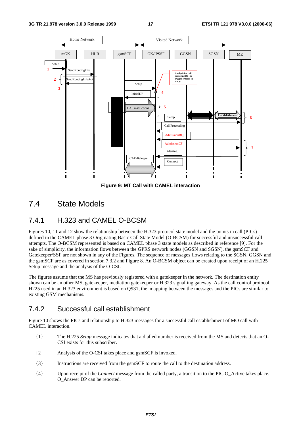

**Figure 9: MT Call with CAMEL interaction**

# 7.4 State Models

# 7.4.1 H.323 and CAMEL O-BCSM

Figures 10, 11 and 12 show the relationship between the H.323 protocol state model and the points in call (PICs) defined in the CAMEL phase 3 Originating Basic Call State Model (O-BCSM) for successful and unsuccessful call attempts. The O-BCSM represented is based on CAMEL phase 3 state models as described in reference [9]. For the sake of simplicity, the information flows between the GPRS network nodes (GGSN and SGSN), the gsmSCF and Gatekeeper/SSF are not shown in any of the Figures. The sequence of messages flows relating to the SGSN, GGSN and the gsmSCF are as covered in section 7.3.2 and Figure 8. An O-BCSM object can be created upon receipt of an H.225 Setup message and the analysis of the O-CSI.

The figures assume that the MS has previously registered with a gatekeeper in the network. The destination entity shown can be an other MS, gatekeeper, mediation gatekeeper or H.323 signalling gateway. As the call control protocol, H225 used in an H.323 environment is based on Q931, the mapping between the messages and the PICs are similar to existing GSM mechanisms.

### 7.4.2 Successful call establishment

Figure 10 shows the PICs and relationship to H.323 messages for a successful call establishment of MO call with CAMEL interaction.

- {1} The H.225 *Setup* message indicates that a dialled number is received from the MS and detects that an O-CSI exists for this subscriber.
- {2} Analysis of the O-CSI takes place and gsmSCF is invoked.
- {3} Instructions are received from the gsmSCF to route the call to the destination address.
- {4} Upon receipt of the *Connect* message from the called party, a transition to the PIC O\_Active takes place. O\_Answer DP can be reported.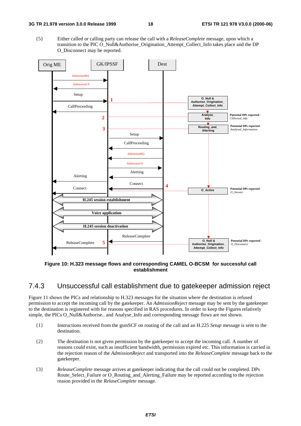{5} Either called or calling party can release the call with a *ReleaseComplete* message, upon which a transition to the PIC O\_Null&Authorise\_Origination\_Attempt\_Collect\_Info takes place and the DP O\_Disconnect may be reported.



**Figure 10: H.323 message flows and corresponding CAMEL O-BCSM for successful call establishment**

#### 7.4.3 Unsuccessful call establishment due to gatekeeper admission reject

Figure 11 shows the PICs and relationship to H.323 messages for the situation where the destination is refused permission to accept the incoming call by the gatekeeper. An *AdmissionReject* message may be sent by the gatekeeper to the destination is registered with for reasons specified in RAS procedures. In order to keep the Figures relatively simple, the PICs O\_Null&Authorise.. and Analyse Info and corresponding message flows are not shown.

- {1} Instructions received from the gsmSCF on routing of the call and an H.225 *Setup* message is sent to the destination.
- {2} The destination is not given permission by the gatekeeper to accept the incoming call. A number of reasons could exist, such as insufficient bandwidth, permission expired etc. This information is carried in the rejection reason of the *AdmissionReject* and transported into the *ReleaseComplete* message back to the gatekeeper.
- {3} *ReleaseComplete* message arrives at gatekeeper indicating that the call could not be completed. DPs Route Select Failure or O\_Routing\_and\_Alerting\_Failure may be reported according to the rejection reason provided in the *RelaseComplete* message.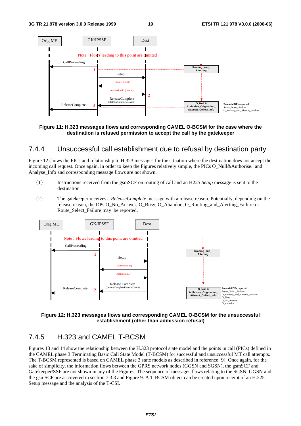

#### **Figure 11: H.323 messages flows and corresponding CAMEL O-BCSM for the case where the destination is refused permission to accept the call by the gatekeeper**

#### 7.4.4 Unsuccessful call establishment due to refusal by destination party

Figure 12 shows the PICs and relationship to H.323 messages for the situation where the destination does not accept the incoming call request. Once again, in order to keep the Figures relatively simple, the PICs O\_Null&Authorise.. and Analyse\_Info and corresponding message flows are not shown.

- {1} Instructions received from the gsmSCF on routing of call and an H225 *Setup* message is sent to the destination.
- {2} The gatekeeper receives a *ReleaseComplete* message with a release reason. Potentially, depending on the release reason, the DPs O\_No\_Answer, O\_Busy, O\_Abandon, O\_Routing\_and\_Alerting\_Failure or Route\_Select\_Failure may be reported.





# 7.4.5 H.323 and CAMEL T-BCSM

Figures 13 and 14 show the relationship between the H.323 protocol state model and the points in call (PICs) defined in the CAMEL phase 3 Terminating Basic Call State Model (T-BCSM) for successful and unsuccessful MT call attempts. The T-BCSM represented is based on CAMEL phase 3 state models as described in reference [9]. Once again, for the sake of simplicity, the information flows between the GPRS network nodes (GGSN and SGSN), the gsmSCF and Gatekeeper/SSF are not shown in any of the Figures. The sequence of messages flows relating to the SGSN, GGSN and the gsmSCF are as covered in section 7.3.3 and Figure 9. A T-BCSM object can be created upon receipt of an H.225 Setup message and the analysis of the T-CSI.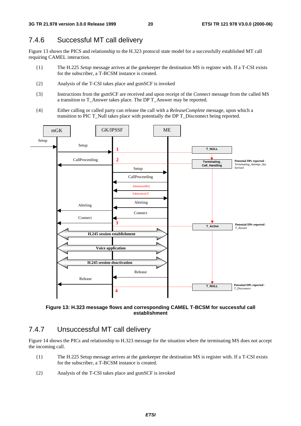### 7.4.6 Successful MT call delivery

Figure 13 shows the PICS and relationship to the H.323 protocol state model for a successfully established MT call requiring CAMEL interaction.

- {1} The H.225 *Setup* message arrives at the gatekeeper the destination MS is register with. If a T-CSI exists for the subscriber, a T-BCSM instance is created.
- {2} Analysis of the T-CSI takes place and gsmSCF is invoked
- {3} Instructions from the gsmSCF are received and upon receipt of the *Connect* message from the called MS a transition to T\_Answer takes place. The DP T\_Answer may be reported.
- {4} Either calling or called party can release the call with a *ReleaseComplete* message, upon which a transition to PIC T\_Null takes place with potentially the DP T\_Disconnect being reported.



**Figure 13: H.323 message flows and corresponding CAMEL T-BCSM for successful call establishment**

### 7.4.7 Unsuccessful MT call delivery

Figure 14 shows the PICs and relationship to H.323 message for the situation where the terminating MS does not accept the incoming call.

- {1} The H.225 Setup message arrives at the gatekeeper the destination MS is register with. If a T-CSI exists for the subscriber, a T-BCSM instance is created.
- {2} Analysis of the T-CSI takes place and gsmSCF is invoked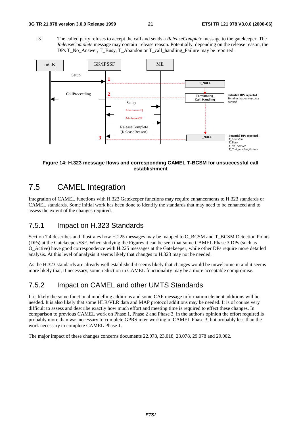{3} The called party refuses to accept the call and sends a *ReleaseComplete* message to the gatekeeper. The *ReleaseComplete* message may contain release reason. Potentially, depending on the release reason, the DPs T\_No\_Answer, T\_Busy, T\_Abandon or T\_call\_handling\_Failure may be reported.



#### **Figure 14: H.323 message flows and corresponding CAMEL T-BCSM for unsuccessful call establishment**

# 7.5 CAMEL Integration

Integration of CAMEL functions with H.323 Gatekeeper functions may require enhancements to H.323 standards or CAMEL standards. Some initial work has been done to identify the standards that may need to be enhanced and to assess the extent of the changes required.

### 7.5.1 Impact on H.323 Standards

Section 7.4 describes and illustrates how H.225 messages may be mapped to O\_BCSM and T\_BCSM Detection Points (DPs) at the Gatekeeper/SSF. When studying the Figures it can be seen that some CAMEL Phase 3 DPs (such as O\_Active) have good correspondence with H.225 messages at the Gatekeeper, while other DPs require more detailed analysis. At this level of analysis it seems likely that changes to H.323 may not be needed.

As the H.323 standards are already well established it seems likely that changes would be unwelcome in and it seems more likely that, if necessary, some reduction in CAMEL functionality may be a more acceptable compromise.

# 7.5.2 Impact on CAMEL and other UMTS Standards

It is likely the some functional modelling additions and some CAP message information element additions will be needed. It is also likely that some HLR/VLR data and MAP protocol additions may be needed. It is of course very difficult to assess and describe exactly how much effort and meeting time is required to effect these changes. In comparison to previous CAMEL work on Phase 1, Phase 2 and Phase 3, in the author's opinion the effort required is probably more than was necessary to complete GPRS inter-working in CAMEL Phase 3, but probably less than the work necessary to complete CAMEL Phase 1.

The major impact of these changes concerns documents 22.078, 23.018, 23.078, 29.078 and 29.002.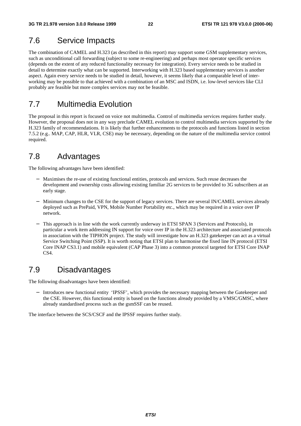# 7.6 Service Impacts

The combination of CAMEL and H.323 (as described in this report) may support some GSM supplementary services, such as unconditional call forwarding (subject to some re-engineering) and perhaps most operator specific services (depends on the extent of any reduced functionality necessary for integration). Every service needs to be studied in detail to determine exactly what can be supported. Interworking with H.323 based supplementary services is another aspect. Again every service needs to be studied in detail, however, it seems likely that a comparable level of interworking may be possible to that achieved with a combination of an MSC and ISDN, i.e. low-level services like CLI probably are feasible but more complex services may not be feasible.

# 7.7 Multimedia Evolution

The proposal in this report is focused on voice not multimedia. Control of multimedia services requires further study. However, the proposal does not in any way preclude CAMEL evolution to control multimedia services supported by the H.323 family of recommendations. It is likely that further enhancements to the protocols and functions listed in section 7.5.2 (e.g.. MAP, CAP, HLR, VLR, CSE) may be necessary, depending on the nature of the multimedia service control required.

# 7.8 Advantages

The following advantages have been identified:

- Maximises the re-use of existing functional entities, protocols and services. Such reuse decreases the development and ownership costs allowing existing familiar 2G services to be provided to 3G subscribers at an early stage.
- Minimum changes to the CSE for the support of legacy services. There are several IN/CAMEL services already deployed such as PrePaid, VPN, Mobile Number Portability etc., which may be required in a voice over IP network.
- This approach is in line with the work currently underway in ETSI SPAN 3 (Services and Protocols), in particular a work item addressing IN support for voice over IP in the H.323 architecture and associated protocols in association with the TIPHON project. The study will investigate how an H.323 gatekeeper can act as a virtual Service Switching Point (SSP). It is worth noting that ETSI plan to harmonise the fixed line IN protocol (ETSI Core INAP CS3.1) and mobile equivalent (CAP Phase 3) into a common protocol targeted for ETSI Core INAP CS<sub>4</sub>.

# 7.9 Disadvantages

The following disadvantages have been identified:

Introduces new functional entity 'IPSSF', which provides the necessary mapping between the Gatekeeper and the CSE. However, this functional entity is based on the functions already provided by a VMSC/GMSC, where already standardised process such as the gsmSSF can be reused.

The interface between the SCS/CSCF and the IPSSF requires further study.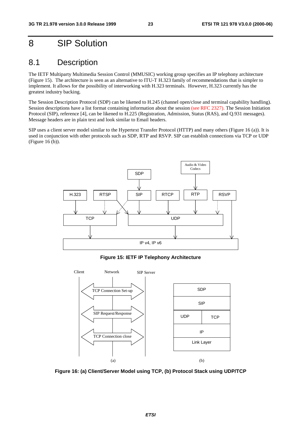# 8 SIP Solution

# 8.1 Description

The IETF Multiparty Multimedia Session Control (MMUSIC) working group specifies an IP telephony architecture (Figure 15). The architecture is seen as an alternative to ITU-T H.323 family of recommendations that is simpler to implement. It allows for the possibility of interworking with H.323 terminals. However, H.323 currently has the greatest industry backing.

The Session Description Protocol (SDP) can be likened to H.245 (channel open/close and terminal capability handling). Session descriptions have a list format containing information about the session (see RFC 2327). The Session Initiation Protocol (SIP), reference [4], can be likened to H.225 (Registration, Admission, Status (RAS), and Q.931 messages). Message headers are in plain text and look similar to Email headers.

SIP uses a client server model similar to the Hypertext Transfer Protocol (HTTP) and many others (Figure 16 (a)). It is used in conjunction with other protocols such as SDP, RTP and RSVP. SIP can establish connections via TCP or UDP (Figure 16 (b)).



**Figure 15: IETF IP Telephony Architecture**



**Figure 16: (a) Client/Server Model using TCP, (b) Protocol Stack using UDP/TCP**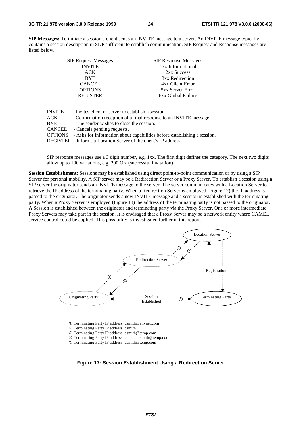**SIP Messages:** To initiate a session a client sends an INVITE message to a server. An INVITE message typically contains a session description in SDP sufficient to establish communication. SIP Request and Response messages are listed below.

| <b>SIP Request Messages</b> | <b>SIP Response Messages</b> |
|-----------------------------|------------------------------|
| <b>INVITE</b>               | 1xx Informational            |
| ACK                         | 2xx Success                  |
| <b>BYE</b>                  | 3xx Redirection              |
| <b>CANCEL</b>               | 4xx Client Error             |
| <b>OPTIONS</b>              | <b>5xx Server Error</b>      |
| <b>REGISTER</b>             | 6xx Global Failure           |
|                             |                              |

| <b>INVITE</b> | - Invites client or server to establish a session.                                      |
|---------------|-----------------------------------------------------------------------------------------|
| ACK.          | - Confirmation reception of a final response to an INVITE message.                      |
| <b>BYE</b>    | - The sender wishes to close the session.                                               |
| CANCEL        | - Cancels pending requests.                                                             |
|               | <b>OPTIONS</b> - Asks for information about capabilities before establishing a session. |
|               | REGISTER - Informs a Location Server of the client's IP address.                        |

SIP response messages use a 3 digit number, e.g. 1xx. The first digit defines the category. The next two digits allow up to 100 variations, e.g. 200 OK (successful invitation).

**Session Establishment:** Sessions may be established using direct point-to-point communication or by using a SIP Server for personal mobility. A SIP server may be a Redirection Server or a Proxy Server. To establish a session using a SIP server the originator sends an INVITE message to the server. The server communicates with a Location Server to retrieve the IP address of the terminating party. When a Redirection Server is employed (Figure 17) the IP address is passed to the originator. The originator sends a new INVITE message and a session is established with the terminating party. When a Proxy Server is employed (Figure 18) the address of the terminating party is not passed to the originator. A Session is established between the originator and terminating party via the Proxy Server. One or more intermediate Proxy Servers may take part in the session. It is envisaged that a Proxy Server may be a network entity where CAMEL service control could be applied. This possibility is investigated further in this report.



c Terminating Party IP address: dsmith@anynet.com

d Terminating Party IP address: dsmith

- e Terminating Party IP address: dsmith@temp.com
- f Terminating Party IP address: contact dsmith@temp.com

g Terminating Party IP address: dsmith@temp.com

**Figure 17: Session Establishment Using a Redirection Server**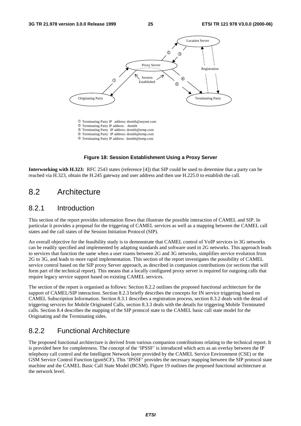

#### **Figure 18: Session Establishment Using a Proxy Server**

**Interworking with H.323:** RFC 2543 states (reference [4]) that SIP could be used to determine that a party can be reached via H.323, obtain the H.245 gateway and user address and then use H.225.0 to establish the call.

# 8.2 Architecture

#### 8.2.1 Introduction

This section of the report provides information flows that illustrate the possible interaction of CAMEL and SIP. In particular it provides a proposal for the triggering of CAMEL services as well as a mapping between the CAMEL call states and the call states of the Session Initiation Protocol (SIP).

An overall objective for the feasibility study is to demonstrate that CAMEL control of VoIP services in 3G networks can be readily specified and implemented by adapting standards and software used in 2G networks. This approach leads to services that function the same when a user roams between 2G and 3G networks, simplifies service evolution from 2G to 3G, and leads to more rapid implementation. This section of the report investigates the possibility of CAMEL service control based on the SIP proxy Server approach, as described in companion contributions (or sections that will form part of the technical report). This means that a locally configured proxy server is required for outgoing calls that require legacy service support based on existing CAMEL services.

The section of the report is organised as follows: Section 8.2.2 outlines the proposed functional architecture for the support of CAMEL/SIP interaction. Section 8.2.3 briefly describes the concepts for IN service triggering based on CAMEL Subscription Information. Section 8.3.1 describes a registration process, section 8.3.2 deals with the detail of triggering services for Mobile Originated Calls, section 8.3.3 deals with the details for triggering Mobile Terminated calls. Section 8.4 describes the mapping of the SIP protocol state to the CAMEL basic call state model for the Originating and the Terminating sides.

### 8.2.2 Functional Architecture

The proposed functional architecture is derived from various companion contributions relating to the technical report. It is provided here for completeness. The concept of the 'IPSSF' is introduced which acts as an overlay between the IP telephony call control and the Intelligent Network layer provided by the CAMEL Service Environment (CSE) or the GSM Service Control Function (gsmSCF). This 'IPSSF' provides the necessary mapping between the SIP protocol state machine and the CAMEL Basic Call State Model (BCSM). Figure 19 outlines the proposed functional architecture at the network level.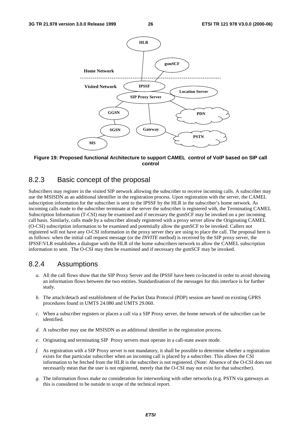

**Figure 19: Proposed functional Architecture to support CAMEL control of VoIP based on SIP call control**

#### 8.2.3 Basic concept of the proposal

Subscribers may register in the visited SIP network allowing the subscriber to receive incoming calls. A subscriber may use the MSISDN as an additional identifier in the registration process. Upon registration with the server, the CAMEL subscription information for the subscriber is sent to the IPSSF by the HLR in the subscriber's home network. As incoming calls made to the subscriber terminate at the server the subscriber is registered with, the Terminating CAMEL Subscription Information (T-CSI) may be examined and if necessary the gsmSCF may be invoked on a per incoming call basis. Similarly, calls made by a subscriber already registered with a proxy server allow the Originating CAMEL (O-CSI) subscription information to be examined and potentially allow the gsmSCF to be invoked. Callers not registered will not have any O-CSI information in the proxy server they are using to place the call. The proposal here is as follows: when the initial call request message (or the *INVITE* method) is received by the SIP proxy server, the IPSSF/VLR establishes a dialogue with the HLR of the home subscribers network to allow the CAMEL subscription information to sent. The O-CSI may then be examined and if necessary the gsmSCF may be invoked.

### 8.2.4 Assumptions

- *a.* All the call flows show that the SIP Proxy Server and the IPSSF have been co-located in order to avoid showing an information flows between the two entities. Standardisation of the messages for this interface is for further study.
- *b.* The attach/detach and establishment of the Packet Data Protocol (PDP) session are based on existing GPRS procedures found in UMTS 24.080 and UMTS 29.060.
- *c.* When a subscriber registers or places a call via a SIP Proxy server, the home network of the subscriber can be identified.
- *d.* A subscriber may use the MSISDN as an additional identifier in the registration process.
- *e.* Originating and terminating SIP Proxy servers must operate in a call-state aware mode.
- *f.* As registration with a SIP Proxy server is not mandatory, it shall be possible to determine whether a registration exists for that particular subscriber when an incoming call is placed by a subscriber. This allows the CSI information to be fetched from the HLR is the subscriber is not registered. (Note: Absence of the O-CSI does not necessarily mean that the user is not registered, merely that the O-CSI may not exist for that subscriber).
- *g.* The information flows make no consideration for interworking with other networks (e.g. PSTN via gateways as this is considered to be outside to scope of the technical report.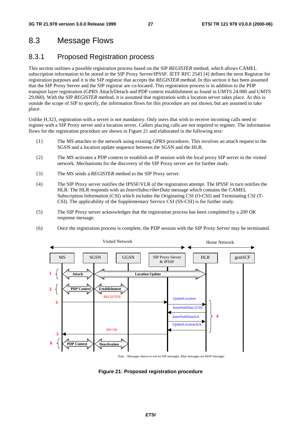# 8.3 Message Flows

### 8.3.1 Proposed Registration process

This section outlines a possible registration process based on the SIP *REGISTER* method, which allows CAMEL subscription information to be stored in the SIP Proxy Server/IPSSF. IETF RFC 2543 [4] defines the term Registrar for registration purposes and it is the SIP registrar that accepts the *REGISTER* method. In this section it has been assumed that the SIP Proxy Server and the SIP registrar are co-located. This registration process is in addition to the PDP transport layer registration (GPRS Attach/Detach and PDP context establishment as found in UMTS 24.080 and UMTS 29.060). With the SIP *REGISTER* method, it is assumed that registration with a location server takes place. As this is outside the scope of SIP to specify, the information flows for this procedure are not shown, but are assumed to take place.

Unlike H.323, registration with a server is not mandatory. Only users that wish to receive incoming calls need to register with a SIP Proxy server and a location server. Callers placing calls are not required to register. The information flows for the registration procedure are shown in Figure 21 and elaborated in the following text:

- {1} The MS attaches to the network using existing GPRS procedures. This involves an attach request to the SGSN and a location update sequence between the SGSN and the HLR.
- {2} The MS activates a PDP context to establish an IP session with the local proxy SIP server in the visited network. Mechanisms for the discovery of the SIP Proxy server are for further study.
- {3} The MS sends a *REGISTER* method to the SIP Proxy server.
- {4} The SIP Proxy server notifies the IPSSF/VLR of the registration attempt. The IPSSF in turn notifies the HLR. The HLR responds with an *InsertSubscriberData* message which contains the CAMEL Subscription Information (CSI) which includes the Originating CSI (O-CSI) and Terminating CSI (T-CSI). The applicability of the Supplementary Service CSI (SS-CSI) is for further study.
- {5} The SIP Proxy server acknowledges that the registration process has been completed by a *200 OK* response message.





Note : Messages shown in red are SIP messages. Blue messages are MAP messages

**Figure 21: Proposed registration procedure**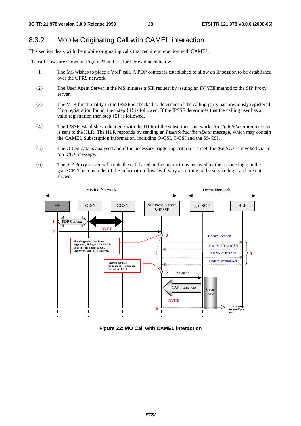# 8.3.2 Mobile Originating Call with CAMEL interaction

This section deals with the mobile originating calls that require interaction with CAMEL.

The call flows are shown in Figure 22 and are further explained below:

- {1} The MS wishes to place a VoIP call. A PDP context is established to allow an IP session to be established over the GPRS network.
- {2} The User Agent Server in the MS initiates a SIP request by issuing an *INVITE* method to the SIP Proxy server.
- {3} The VLR functionality in the IPSSF is checked to determine if the calling party has previously registered. If no registration found, then step {4} is followed. If the IPSSF determines that the calling user has a valid registration then step {5} is followed.
- {4} The IPSSF establishes a dialogue with the HLR of the subscriber's network. An *UpdateLocation* message is sent to the HLR. The HLR responds by sending an *InsertSubscribersData* message, which may contain the CAMEL Subscription Information, including O-CSI, T-CSI and the SS-CSI.
- {5} The O-CSI data is analysed and if the necessary triggering criteria are met, the gsmSCF is invoked via an *InitialDP* message.
- {6} The SIP Proxy server will route the call based on the instructions received by the service logic in the gsmSCF. The remainder of the information flows will vary according to the service logic and are not shown.



**Figure 22: MO Call with CAMEL interaction**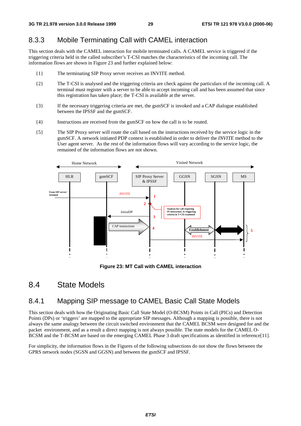### 8.3.3 Mobile Terminating Call with CAMEL interaction

This section deals with the CAMEL interaction for mobile terminated calls. A CAMEL service is triggered if the triggering criteria held in the called subscriber's T-CSI matches the characteristics of the incoming call. The information flows are shown in Figure 23 and further explained below:

- {1} The terminating SIP Proxy server receives an INVITE method.
- {2} The T-CSI is analysed and the triggering criteria are check against the particulars of the incoming call. A terminal must register with a server to be able to accept incoming call and has been assumed that since this registration has taken place; the T-CSI is available at the server.
- {3} If the necessary triggering criteria are met, the gsmSCF is invoked and a CAP dialogue established between the IPSSF and the gsmSCF.
- {4} Instructions are received from the gsmSCF on how the call is to be routed.
- {5} The SIP Proxy server will route the call based on the instructions received by the service logic in the gsmSCF. A network initiated PDP context is established in order to deliver the *INVITE* method to the User agent server. As the rest of the information flows will vary according to the service logic, the remained of the information flows are not shown.



**Figure 23: MT Call with CAMEL interaction**

# 8.4 State Models

# 8.4.1 Mapping SIP message to CAMEL Basic Call State Models

This section deals with how the Originating Basic Call State Model (O-BCSM) Points in Call (PICs) and Detection Points (DPs) or 'triggers' are mapped to the appropriate SIP messages. Although a mapping is possible, there is not always the same analogy between the circuit switched environment that the CAMEL BCSM were designed for and the packet environment, and as a result a direct mapping is not always possible. The state models for the CAMEL O-BCSM and the T-BCSM are based on the emerging CAMEL Phase 3 draft specifications as identified in reference[11].

For simplicity, the information flows in the Figures of the following subsections do not show the flows between the GPRS network nodes (SGSN and GGSN) and between the gsmSCF and IPSSF.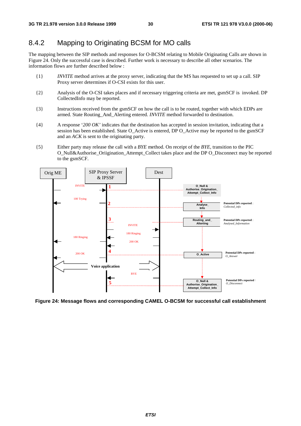# 8.4.2 Mapping to Originating BCSM for MO calls

The mapping between the SIP methods and responses for O-BCSM relating to Mobile Originating Calls are shown in Figure 24. Only the successful case is described. Further work is necessary to describe all other scenarios. The information flows are further described below :

- {1} *INVITE* method arrives at the proxy server, indicating that the MS has requested to set up a call. SIP Proxy server determines if O-CSI exists for this user.
- {2} Analysis of the O-CSI takes places and if necessary triggering criteria are met, gsmSCF is invoked. DP CollectedInfo may be reported.
- {3} Instructions received from the gsmSCF on how the call is to be routed, together with which EDPs are armed. State Routing\_And\_Alerting entered. *INVITE* method forwarded to destination.
- {4} A response '*200 OK'* indicates that the destination has accepted in session invitation, indicating that a session has been established. State O\_Active is entered, DP O\_Active may be reported to the gsmSCF and an *ACK* is sent to the originating party.
- {5} Either party may release the call with a *BYE* method. On receipt of the *BYE*, transition to the PIC O\_Null&Authorise\_Oriigination\_Attempt\_Collect takes place and the DP O\_Disconnect may be reported to the gsmSCF.



**Figure 24: Message flows and corresponding CAMEL O-BCSM for successful call establishment**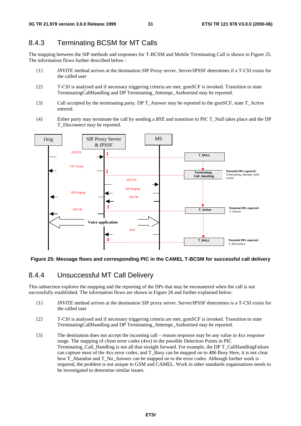# 8.4.3 Terminating BCSM for MT Calls

The mapping between the SIP methods and responses for T-BCSM and Mobile Terminating Call is shown in Figure 25. The information flows further described below :

- {1} *INVITE* method arrives at the destination SIP Proxy server. Server/IPSSF determines if a T-CSI exists for the called user
- {2} T-CSI is analysed and if necessary triggering criteria are met, gsmSCF is invoked. Transition to state TerminatingCallHandling and DP Terminating\_Atttempt\_Authorised may be reported.
- {3} Call accepted by the terminating party. DP T\_Answer may be reported to the gsmSCF, state T\_Active entered.
- {4} Either party may terminate the call by sending a *BYE* and transition to PIC T\_Null takes place and the DP T\_Disconnect may be reported.



#### **Figure 25: Message flows and corresponding PIC in the CAMEL T-BCSM for successful call delivery**

#### 8.4.4 Unsuccessful MT Call Delivery

This subsection explores the mapping and the reporting of the DPs that may be encountered when the call is not successfully established. The information flows are shown in Figure 26 and further explained below:

- {1} *INVITE* method arrives at the destination SIP proxy server. Server/IPSSF determines is a T-CSI exists for the called user
- {2} T-CSI is analysed and if necessary triggering criteria are met, gsmSCF is invoked. Transition to state TerminatingCallHandling and DP Terminating\_Atttempt\_Authorised may be reported.
- {3} The destination does not accept the incoming call reason response may be any value in 4xx response range. The mapping of client error codes  $(4xx)$  to the possible Detection Points in PIC Terminating\_Call\_Handling is not all that straight forward. For example, the DP T\_CallHandlingFailure can capture most of the 4xx error codes, and T\_Busy can be mapped on to 486 Busy Here, it is not clear how T\_Abandon and T\_No\_Answer can be mapped on to the error codes. Although further work is required, the problem is not unique to GSM and CAMEL. Work in other standards organisations needs to be investigated to determine similar issues.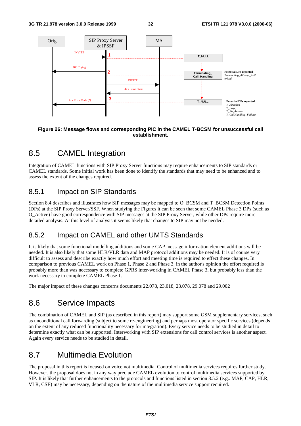

#### **Figure 26: Message flows and corresponding PIC in the CAMEL T-BCSM for unsuccessful call establishment.**

# 8.5 CAMEL Integration

Integration of CAMEL functions with SIP Proxy Server functions may require enhancements to SIP standards or CAMEL standards. Some initial work has been done to identify the standards that may need to be enhanced and to assess the extent of the changes required.

### 8.5.1 Impact on SIP Standards

Section 8.4 describes and illustrates how SIP messages may be mapped to O\_BCSM and T\_BCSM Detection Points (DPs) at the SIP Proxy Server/SSF. When studying the Figures it can be seen that some CAMEL Phase 3 DPs (such as O\_Active) have good correspondence with SIP messages at the SIP Proxy Server, while other DPs require more detailed analysis. At this level of analysis it seems likely that changes to SIP may not be needed.

# 8.5.2 Impact on CAMEL and other UMTS Standards

It is likely that some functional modelling additions and some CAP message information element additions will be needed. It is also likely that some HLR/VLR data and MAP protocol additions may be needed. It is of course very difficult to assess and describe exactly how much effort and meeting time is required to effect these changes. In comparison to previous CAMEL work on Phase 1, Phase 2 and Phase 3, in the author's opinion the effort required is probably more than was necessary to complete GPRS inter-working in CAMEL Phase 3, but probably less than the work necessary to complete CAMEL Phase 1.

The major impact of these changes concerns documents 22.078, 23.018, 23.078, 29.078 and 29.002

# 8.6 Service Impacts

The combination of CAMEL and SIP (as described in this report) may support some GSM supplementary services, such as unconditional call forwarding (subject to some re-engineering) and perhaps most operator specific services (depends on the extent of any reduced functionality necessary for integration). Every service needs to be studied in detail to determine exactly what can be supported. Interworking with SIP extensions for call control services is another aspect. Again every service needs to be studied in detail.

# 8.7 Multimedia Evolution

The proposal in this report is focused on voice not multimedia. Control of multimedia services requires further study. However, the proposal does not in any way preclude CAMEL evolution to control multimedia services supported by SIP. It is likely that further enhancements to the protocols and functions listed in section 8.5.2 (e.g.. MAP, CAP, HLR, VLR, CSE) may be necessary, depending on the nature of the multimedia service support required.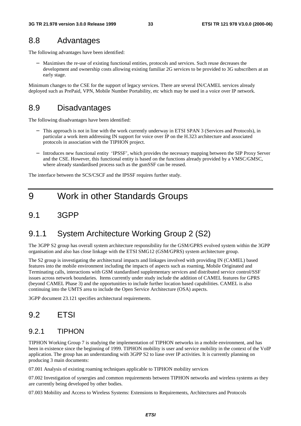# 8.8 Advantages

The following advantages have been identified:

− Maximises the re-use of existing functional entities, protocols and services. Such reuse decreases the development and ownership costs allowing existing familiar 2G services to be provided to 3G subscribers at an early stage.

Minimum changes to the CSE for the support of legacy services. There are several IN/CAMEL services already deployed such as PrePaid, VPN, Mobile Number Portability, etc which may be used in a voice over IP network.

# 8.9 Disadvantages

The following disadvantages have been identified:

- This approach is not in line with the work currently underway in ETSI SPAN 3 (Services and Protocols), in particular a work item addressing IN support for voice over IP on the H.323 architecture and associated protocols in association with the TIPHON project.
- − Introduces new functional entity 'IPSSF', which provides the necessary mapping between the SIP Proxy Server and the CSE. However, this functional entity is based on the functions already provided by a VMSC/GMSC, where already standardised process such as the gsmSSF can be reused.

The interface between the SCS/CSCF and the IPSSF requires further study.

# 9 Work in other Standards Groups

# 9.1 3GPP

# 9.1.1 System Architecture Working Group 2 (S2)

The 3GPP S2 group has overall system architecture responsibility for the GSM/GPRS evolved system within the 3GPP organisation and also has close linkage with the ETSI SMG12 (GSM/GPRS) system architecture group.

The S2 group is investigating the architectural impacts and linkages involved with providing IN (CAMEL) based features into the mobile environment including the impacts of aspects such as roaming, Mobile Originated and Terminating calls, interactions with GSM standardised supplementary services and distributed service control/SSF issues across network boundaries. Items currently under study include the addition of CAMEL features for GPRS (beyond CAMEL Phase 3) and the opportunities to include further location based capabilities. CAMEL is also continuing into the UMTS area to include the Open Service Architecture (OSA) aspects.

3GPP document 23.121 specifies architectural requirements.

# 9.2 ETSI

### 9.2.1 TIPHON

TIPHON Working Group 7 is studying the implementation of TIPHON networks in a mobile environment, and has been in existence since the beginning of 1999. TIPHON mobility is user and service mobility in the context of the VoIP application. The group has an understanding with 3GPP S2 to liase over IP activities. It is currently planning on producing 3 main documents:

07.001 Analysis of existing roaming techniques applicable to TIPHON mobility services

07.002 Investigation of synergies and common requirements between TIPHON networks and wireless systems as they are currently being developed by other bodies.

07.003 Mobility and Access to Wireless Systems: Extensions to Requirements, Architectures and Protocols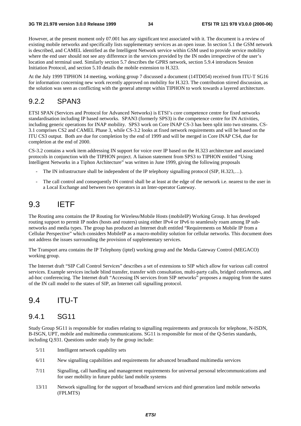However, at the present moment only 07.001 has any significant text associated with it. The document is a review of existing mobile networks and specifically lists supplementary services as an open issue. In section 5.1 the GSM network is described, and CAMEL identified as the Intelligent Network service within GSM used to provide service mobility where the end user should not see any difference in the services provided by the IN nodes irrespective of the user's location and terminal used. Similarly section 5.7 describes the GPRS network, section 5.9.4 introduces Session Initiation Protocol, and section 5.10 details the mobile extension to H.323.

At the July 1999 TIPHON 14 meeting, working group 7 discussed a document (14TD054) received from ITU-T SG16 for information concerning new work recently approved on mobility for H.323. The contribution stirred discussion, as the solution was seen as conflicting with the general attempt within TIPHON to work towards a layered architecture.

### 9.2.2 SPAN3

ETSI SPAN (Services and Protocol for Advanced Networks) is ETSI's core competence centre for fixed networks standardisation including IP based networks. SPAN3 (formerly SPS3) is the competence centre for IN Activities, including generic operations for INAP mobility. SPS3 work on Core INAP CS-3 has been split into two streams. CS-3.1 comprises CS2 and CAMEL Phase 3, while CS-3.2 looks at fixed network requirements and will be based on the ITU CS3 output. Both are due for completion by the end of 1999 and will be merged in Core INAP CS4, due for completion at the end of 2000.

CS-3.2 contains a work item addressing IN support for voice over IP based on the H.323 architecture and associated protocols in conjunction with the TIPHON project. A liaison statement from SPS3 to TIPHON entitled "Using Intelligent Networks in a Tiphon Architecture" was written in June 1999, giving the following proposals

- The IN infrastructure shall be independent of the IP telephony signalling protocol (SIP, H.323,...).
- The call control and consequently IN control shall be at least at the edge of the network i.e. nearest to the user in a Local Exchange and between two operators in an Inter-operator Gateway.

# 9.3 IETF

The Routing area contains the IP Routing for Wireless/Mobile Hosts (mobileIP) Working Group. It has developed routing support to permit IP nodes (hosts and routers) using either IPv4 or IPv6 to seamlessly roam among IP subnetworks and media types. The group has produced an Internet draft entitled "Requirements on Mobile IP from a Cellular Perspective" which considers MobileIP as a macro-mobility solution for cellular networks. This document does not address the issues surrounding the provision of supplementary services.

The Transport area contains the IP Telephony (iptel) working group and the Media Gateway Control (MEGACO) working group.

The Internet draft "SIP Call Control Services" describes a set of extensions to SIP which allow for various call control services. Example services include blind transfer, transfer with consultation, multi-party calls, bridged conferences, and ad-hoc conferencing. The Internet draft "Accessing IN services from SIP networks" proposes a mapping from the states of the IN call model to the states of SIP, an Internet call signalling protocol.

# 9.4 ITU-T

#### 9.4.1 SG11

Study Group SG11 is responsible for studies relating to signalling requirements and protocols for telephone, N-ISDN, B-ISGN, UPT, mobile and multimedia communications. SG11 is responsible for most of the Q-Series standards, including Q.931. Questions under study by the group include:

- 5/11 Intelligent network capability sets
- 6/11 New signalling capabilities and requirements for advanced broadband multimedia services
- 7/11 Signalling, call handling and management requirements for universal personal telecommunications and for user mobility in future public land mobile systems
- 13/11 Network signalling for the support of broadband services and third generation land mobile networks (FPLMTS)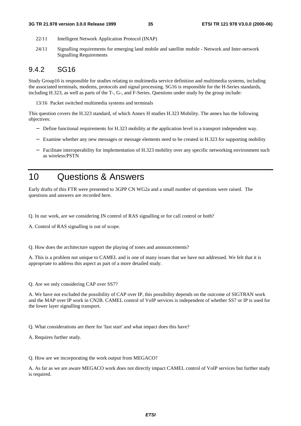#### **3G TR 21.978 version 3.0.0 Release 1999 35 ETSI TR 121 978 V3.0.0 (2000-06)**

- 22/11 Intelligent Network Application Protocol (INAP)
- 24/11 Signalling requirements for emerging land mobile and satellite mobile Network and Inter-network Signalling Requirements

### 9.4.2 SG16

Study Group16 is responsible for studies relating to multimedia service definition and multimedia systems, including the associated terminals, modems, protocols and signal processing. SG16 is responsible for the H-Series standards, including H.323, as well as parts of the T-, G-, and F-Series. Questions under study by the group include:

13/16 Packet switched multimedia systems and terminals

This question covers the H.323 standard, of which Annex H studies H.323 Mobility. The annex has the following objectives:

- − Define functional requirements for H.323 mobility at the application level in a transport independent way.
- − Examine whether any new messages or message elements need to be created in H.323 for supporting mobility
- − Facilitate interoperability for implementation of H.323 mobility over any specific networking environment such as wireless/PSTN

# 10 Questions & Answers

Early drafts of this FTR were presented to 3GPP CN WG2a and a small number of questions were raised. The questions and answers are recorded here.

Q. In our work, are we considering IN control of RAS signalling or for call control or both?

A. Control of RAS signalling is out of scope.

Q. How does the architecture support the playing of tones and announcements?

A. This is a problem not unique to CAMEL and is one of many issues that we have not addressed. We felt that it is appropriate to address this aspect as part of a more detailed study.

Q. Are we only considering CAP over SS7?

A. We have not excluded the possibility of CAP over IP, this possibility depends on the outcome of SIGTRAN work and the MAP over IP work in CN2B. CAMEL control of VoIP services is independent of whether SS7 or IP is used for the lower layer signalling transport.

Q. What considerations are there for 'fast start' and what impact does this have?

A. Requires further study.

Q. How are we incorporating the work output from MEGACO?

A. As far as we are aware MEGACO work does not directly impact CAMEL control of VoIP services but further study is required.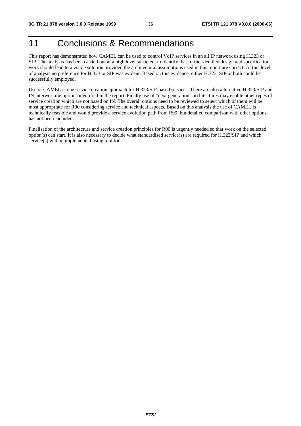# 11 Conclusions & Recommendations

This report has demonstrated how CAMEL can be used to control VoIP services in an all IP network using H.323 or SIP. The analysis has been carried out at a high level sufficient to identify that further detailed design and specification work should lead to a viable solution provided the architectural assumptions used in this report are correct. At this level of analysis no preference for H.323 or SIP was evident. Based on this evidence, either H.323, SIP or both could be successfully employed.

Use of CAMEL is one service creation approach for H.323/SIP-based services. There are also alternative H.323/SIP and IN interworking options identified in the report. Finally use of "next generation" architectures may enable other types of service creation which are not based on IN. The overall options need to be reviewed to select which of them will be most appropriate for R00 considering service and technical aspects. Based on this analysis the use of CAMEL is technically feasible and would provide a service evolution path from R99, but detailed comparison with other options has not been included.

Finalisation of the architecture and service creation principles for R00 is urgently needed so that work on the selected option(s) can start. It is also necessary to decide what standardised service(s) are required for H.323/SIP and which service(s) will be implemented using tool-kits.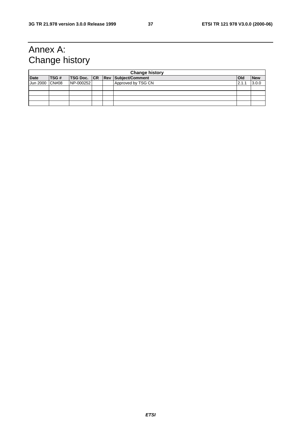# Annex A: Change history

|             | <b>Change history</b> |           |  |  |                                        |         |            |  |
|-------------|-----------------------|-----------|--|--|----------------------------------------|---------|------------|--|
| <b>Date</b> | <b>ITSG#</b>          |           |  |  | <b>TSG Doc. CR Rev Subject/Comment</b> | lOld    | <b>New</b> |  |
| Jun 2000    | CN#08                 | NP-000252 |  |  | Approved by TSG CN                     | $2.1$ . | 3.0.0      |  |
|             |                       |           |  |  |                                        |         |            |  |
|             |                       |           |  |  |                                        |         |            |  |
|             |                       |           |  |  |                                        |         |            |  |
|             |                       |           |  |  |                                        |         |            |  |